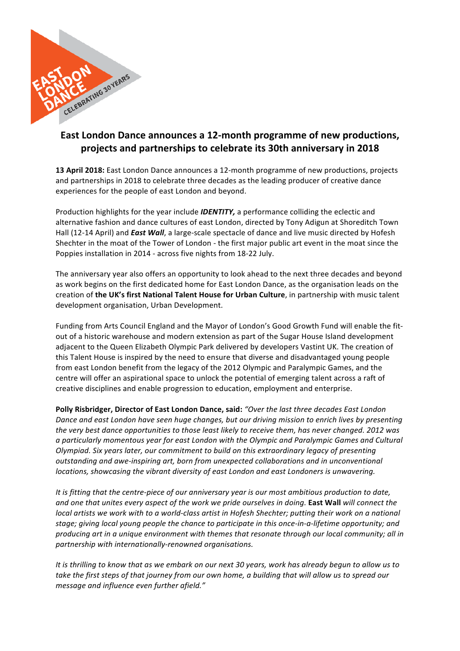

# **East London Dance announces a 12-month programme of new productions, projects and partnerships to celebrate its 30th anniversary in 2018**

**13 April 2018:** East London Dance announces a 12-month programme of new productions, projects and partnerships in 2018 to celebrate three decades as the leading producer of creative dance experiences for the people of east London and beyond.

Production highlights for the year include *IDENTITY*, a performance colliding the eclectic and alternative fashion and dance cultures of east London, directed by Tony Adigun at Shoreditch Town Hall (12-14 April) and *East Wall*, a large-scale spectacle of dance and live music directed by Hofesh Shechter in the moat of the Tower of London - the first major public art event in the moat since the Poppies installation in 2014 - across five nights from 18-22 July.

The anniversary year also offers an opportunity to look ahead to the next three decades and beyond as work begins on the first dedicated home for East London Dance, as the organisation leads on the creation of the UK's first National Talent House for Urban Culture, in partnership with music talent development organisation, Urban Development.

Funding from Arts Council England and the Mayor of London's Good Growth Fund will enable the fitout of a historic warehouse and modern extension as part of the Sugar House Island development adjacent to the Queen Elizabeth Olympic Park delivered by developers Vastint UK. The creation of this Talent House is inspired by the need to ensure that diverse and disadvantaged young people from east London benefit from the legacy of the 2012 Olympic and Paralympic Games, and the centre will offer an aspirational space to unlock the potential of emerging talent across a raft of creative disciplines and enable progression to education, employment and enterprise.

Polly Risbridger, Director of East London Dance, said: "Over the last three decades East London Dance and east London have seen huge changes, but our driving mission to enrich lives by presenting *the very best dance opportunities to those least likely to receive them, has never changed. 2012 was* a particularly momentous year for east London with the Olympic and Paralympic Games and Cultural *Olympiad.* Six years later, our commitment to build on this extraordinary legacy of presenting *outstanding and awe-inspiring art, born from unexpected collaborations and in unconventional locations, showcasing the vibrant diversity of east London and east Londoners is unwavering.* 

It is fitting that the centre-piece of our anniversary year is our most ambitious production to date, *and* one that unites every aspect of the work we pride ourselves in doing. East Wall will connect the *local* artists we work with to a world-class artist in Hofesh Shechter; putting their work on a national stage; giving local young people the chance to participate in this once-in-a-lifetime opportunity; and producing art in a unique environment with themes that resonate through our local community; all in *partnership with internationally-renowned organisations.*

It is thrilling to know that as we embark on our next 30 years, work has already begun to allow us to take the first steps of that journey from our own home, a building that will allow us to spread our *message and influence even further afield."*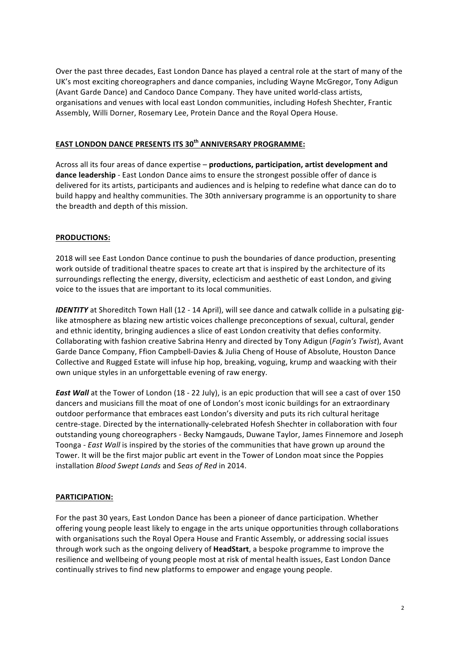Over the past three decades, East London Dance has played a central role at the start of many of the UK's most exciting choreographers and dance companies, including Wayne McGregor, Tony Adigun (Avant Garde Dance) and Candoco Dance Company. They have united world-class artists, organisations and venues with local east London communities, including Hofesh Shechter, Frantic Assembly, Willi Dorner, Rosemary Lee, Protein Dance and the Royal Opera House.

# **EAST LONDON DANCE PRESENTS ITS 30<sup>th</sup> ANNIVERSARY PROGRAMME:**

Across all its four areas of dance expertise - productions, participation, artist development and **dance leadership** - East London Dance aims to ensure the strongest possible offer of dance is delivered for its artists, participants and audiences and is helping to redefine what dance can do to build happy and healthy communities. The 30th anniversary programme is an opportunity to share the breadth and depth of this mission.

### **PRODUCTIONS:**

2018 will see East London Dance continue to push the boundaries of dance production, presenting work outside of traditional theatre spaces to create art that is inspired by the architecture of its surroundings reflecting the energy, diversity, eclecticism and aesthetic of east London, and giving voice to the issues that are important to its local communities.

**IDENTITY** at Shoreditch Town Hall (12 - 14 April), will see dance and catwalk collide in a pulsating giglike atmosphere as blazing new artistic voices challenge preconceptions of sexual, cultural, gender and ethnic identity, bringing audiences a slice of east London creativity that defies conformity. Collaborating with fashion creative Sabrina Henry and directed by Tony Adigun (*Fagin's Twist*), Avant Garde Dance Company, Ffion Campbell-Davies & Julia Cheng of House of Absolute, Houston Dance Collective and Rugged Estate will infuse hip hop, breaking, voguing, krump and waacking with their own unique styles in an unforgettable evening of raw energy.

*East Wall* at the Tower of London (18 - 22 July), is an epic production that will see a cast of over 150 dancers and musicians fill the moat of one of London's most iconic buildings for an extraordinary outdoor performance that embraces east London's diversity and puts its rich cultural heritage centre-stage. Directed by the internationally-celebrated Hofesh Shechter in collaboration with four outstanding young choreographers - Becky Namgauds, Duwane Taylor, James Finnemore and Joseph Toonga - *East Wall* is inspired by the stories of the communities that have grown up around the Tower. It will be the first major public art event in the Tower of London moat since the Poppies installation *Blood Swept Lands* and *Seas of Red* in 2014.

## **PARTICIPATION:**

For the past 30 years, East London Dance has been a pioneer of dance participation. Whether offering young people least likely to engage in the arts unique opportunities through collaborations with organisations such the Royal Opera House and Frantic Assembly, or addressing social issues through work such as the ongoing delivery of HeadStart, a bespoke programme to improve the resilience and wellbeing of young people most at risk of mental health issues, East London Dance continually strives to find new platforms to empower and engage young people.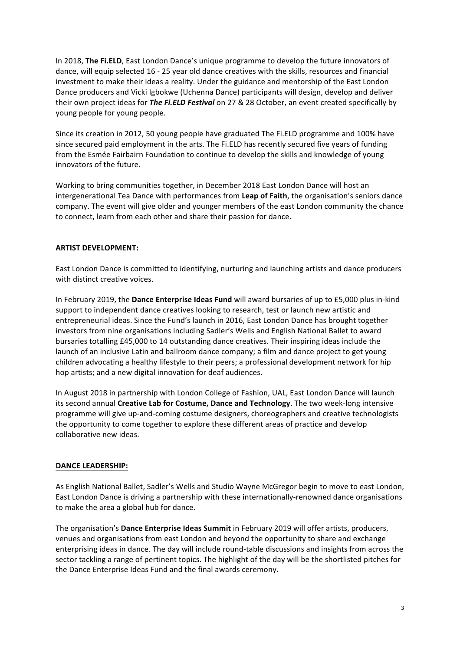In 2018, The Fi.ELD, East London Dance's unique programme to develop the future innovators of dance, will equip selected 16 - 25 year old dance creatives with the skills, resources and financial investment to make their ideas a reality. Under the guidance and mentorship of the East London Dance producers and Vicki Igbokwe (Uchenna Dance) participants will design, develop and deliver their own project ideas for *The Fi.ELD Festival* on 27 & 28 October, an event created specifically by young people for young people.

Since its creation in 2012, 50 young people have graduated The Fi.ELD programme and 100% have since secured paid employment in the arts. The Fi.ELD has recently secured five years of funding from the Esmée Fairbairn Foundation to continue to develop the skills and knowledge of young innovators of the future.

Working to bring communities together, in December 2018 East London Dance will host an intergenerational Tea Dance with performances from Leap of Faith, the organisation's seniors dance company. The event will give older and younger members of the east London community the chance to connect, learn from each other and share their passion for dance.

## **ARTIST DEVELOPMENT:**

East London Dance is committed to identifying, nurturing and launching artists and dance producers with distinct creative voices.

In February 2019, the Dance Enterprise Ideas Fund will award bursaries of up to £5,000 plus in-kind support to independent dance creatives looking to research, test or launch new artistic and entrepreneurial ideas. Since the Fund's launch in 2016, East London Dance has brought together investors from nine organisations including Sadler's Wells and English National Ballet to award bursaries totalling £45,000 to 14 outstanding dance creatives. Their inspiring ideas include the launch of an inclusive Latin and ballroom dance company; a film and dance project to get young children advocating a healthy lifestyle to their peers; a professional development network for hip hop artists; and a new digital innovation for deaf audiences.

In August 2018 in partnership with London College of Fashion, UAL, East London Dance will launch its second annual **Creative Lab for Costume, Dance and Technology**. The two week-long intensive programme will give up-and-coming costume designers, choreographers and creative technologists the opportunity to come together to explore these different areas of practice and develop collaborative new ideas.

#### **DANCE LEADERSHIP:**

As English National Ballet, Sadler's Wells and Studio Wayne McGregor begin to move to east London, East London Dance is driving a partnership with these internationally-renowned dance organisations to make the area a global hub for dance.

The organisation's Dance Enterprise Ideas Summit in February 2019 will offer artists, producers, venues and organisations from east London and beyond the opportunity to share and exchange enterprising ideas in dance. The day will include round-table discussions and insights from across the sector tackling a range of pertinent topics. The highlight of the day will be the shortlisted pitches for the Dance Enterprise Ideas Fund and the final awards ceremony.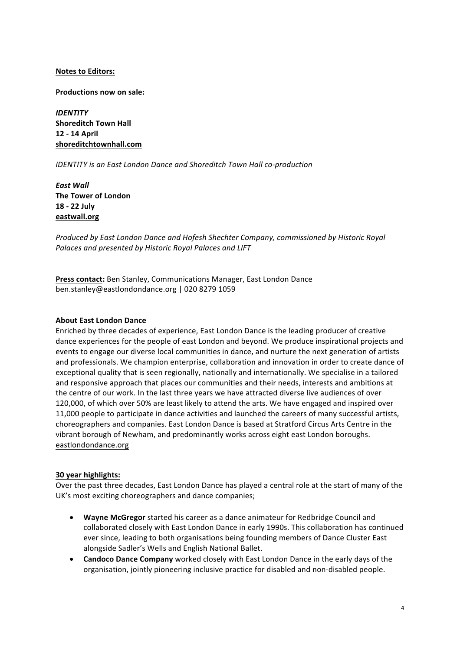#### **Notes to Editors:**

**Productions now on sale:**

*IDENTITY* **Shoreditch Town Hall 12 - 14 April shoreditchtownhall.com**

*IDENTITY is an East London Dance and Shoreditch Town Hall co-production* 

*East Wall* **The Tower of London 18 - 22 July eastwall.org** 

*Produced by East London Dance and Hofesh Shechter Company, commissioned by Historic Royal Palaces and presented by Historic Royal Palaces and LIFT* 

Press contact: Ben Stanley, Communications Manager, East London Dance ben.stanley@eastlondondance.org | 020 8279 1059

#### **About East London Dance**

Enriched by three decades of experience, East London Dance is the leading producer of creative dance experiences for the people of east London and beyond. We produce inspirational projects and events to engage our diverse local communities in dance, and nurture the next generation of artists and professionals. We champion enterprise, collaboration and innovation in order to create dance of exceptional quality that is seen regionally, nationally and internationally. We specialise in a tailored and responsive approach that places our communities and their needs, interests and ambitions at the centre of our work. In the last three years we have attracted diverse live audiences of over 120,000, of which over 50% are least likely to attend the arts. We have engaged and inspired over 11,000 people to participate in dance activities and launched the careers of many successful artists, choreographers and companies. East London Dance is based at Stratford Circus Arts Centre in the vibrant borough of Newham, and predominantly works across eight east London boroughs. eastlondondance.org

#### **30 year highlights:**

Over the past three decades, East London Dance has played a central role at the start of many of the UK's most exciting choreographers and dance companies;

- **Wayne McGregor** started his career as a dance animateur for Redbridge Council and collaborated closely with East London Dance in early 1990s. This collaboration has continued ever since, leading to both organisations being founding members of Dance Cluster East alongside Sadler's Wells and English National Ballet.
- **Candoco Dance Company** worked closely with East London Dance in the early days of the organisation, jointly pioneering inclusive practice for disabled and non-disabled people.